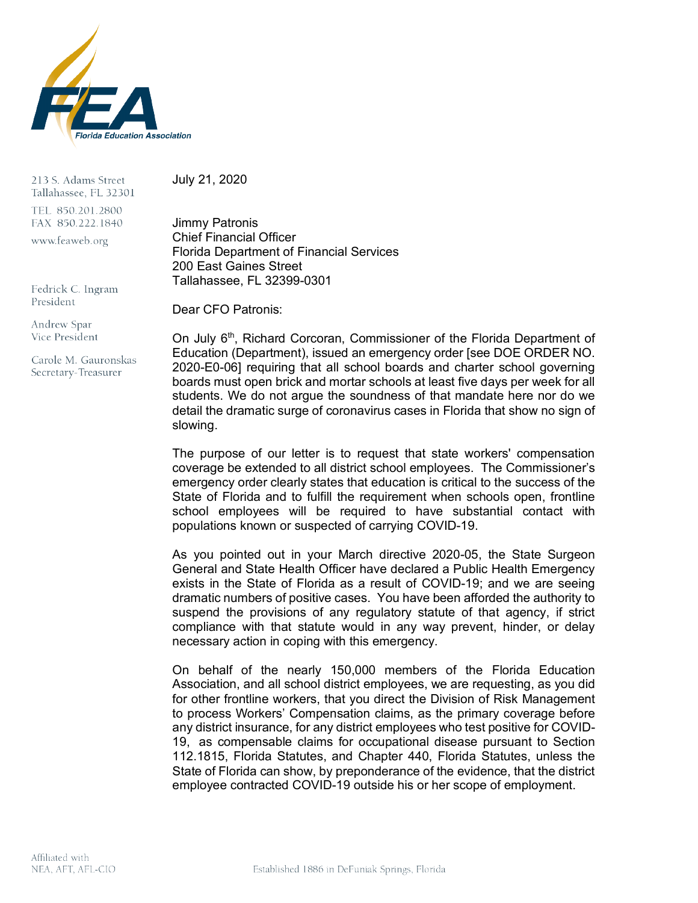

213 S. Adams Street Tallahassee, FL 32301 TEL 850.201.2800 FAX 850.222.1840 www.feaweb.org

Fedrick C. Ingram President

Andrew Spar Vice President

Carole M. Gauronskas Secretary-Treasurer

July 21, 2020

Jimmy Patronis Chief Financial Officer Florida Department of Financial Services 200 East Gaines Street Tallahassee, FL 32399-0301

Dear CFO Patronis:

On July 6<sup>th</sup>, Richard Corcoran, Commissioner of the Florida Department of Education (Department), issued an emergency order [see DOE ORDER NO. 2020-E0-06] requiring that all school boards and charter school governing boards must open brick and mortar schools at least five days per week for all students. We do not argue the soundness of that mandate here nor do we detail the dramatic surge of coronavirus cases in Florida that show no sign of slowing.

The purpose of our letter is to request that state workers' compensation coverage be extended to all district school employees. The Commissioner's emergency order clearly states that education is critical to the success of the State of Florida and to fulfill the requirement when schools open, frontline school employees will be required to have substantial contact with populations known or suspected of carrying COVID-19.

As you pointed out in your March directive 2020-05, the State Surgeon General and State Health Officer have declared a Public Health Emergency exists in the State of Florida as a result of COVID-19; and we are seeing dramatic numbers of positive cases. You have been afforded the authority to suspend the provisions of any regulatory statute of that agency, if strict compliance with that statute would in any way prevent, hinder, or delay necessary action in coping with this emergency.

On behalf of the nearly 150,000 members of the Florida Education Association, and all school district employees, we are requesting, as you did for other frontline workers, that you direct the Division of Risk Management to process Workers' Compensation claims, as the primary coverage before any district insurance, for any district employees who test positive for COVID-19, as compensable claims for occupational disease pursuant to Section 112.1815, Florida Statutes, and Chapter 440, Florida Statutes, unless the State of Florida can show, by preponderance of the evidence, that the district employee contracted COVID-19 outside his or her scope of employment.